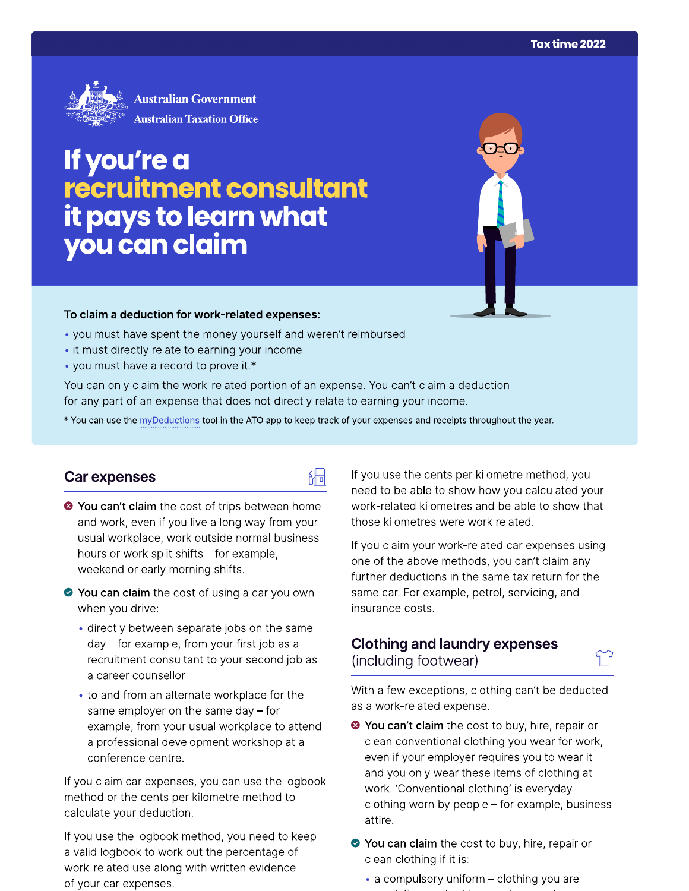

# If you're a recruitment consultant it pays to learn what you can claim

#### To claim a deduction for work-related expenses:

- you must have spent the money yourself and weren't reimbursed
- it must directly relate to earning your income
- you must have a record to prove it.\*

You can only claim the work-related portion of an expense. You can't claim a deduction for any part of an expense that does not directly relate to earning your income.

\* You can use the myDeductions tool in the ATO app to keep track of your expenses and receipts throughout the year.

品

#### Car expenses

- <sup>●</sup> You can't claim the cost of trips between home and work, even if you live a long way from your usual workplace, work outside normal business hours or work split shifts - for example, weekend or early morning shifts.
- ◆ You can claim the cost of using a car you own when you drive:
	- directly between separate jobs on the same day - for example, from your first job as a recruitment consultant to your second job as a career counsellor
	- to and from an alternate workplace for the same employer on the same day  $-$  for example, from your usual workplace to attend a professional development workshop at a conference centre.

If you claim car expenses, you can use the logbook method or the cents per kilometre method to calculate your deduction.

If you use the logbook method, you need to keep a valid logbook to work out the percentage of work-related use along with written evidence of your car expenses.

If you use the cents per kilometre method, you need to be able to show how you calculated your work-related kilometres and be able to show that those kilometres were work related.

If you claim your work-related car expenses using one of the above methods, you can't claim any further deductions in the same tax return for the same car. For example, petrol, servicing, and insurance costs.

### **Clothing and laundry expenses** (including footwear)

With a few exceptions, clothing can't be deducted as a work-related expense.

- <sup>●</sup> You can't claim the cost to buy, hire, repair or clean conventional clothing you wear for work, even if your employer requires you to wear it and you only wear these items of clothing at work. 'Conventional clothing' is everyday clothing worn by people - for example, business attire.
- ◆ You can claim the cost to buy, hire, repair or clean clothing if it is:
	- a compulsory uniform clothing you are